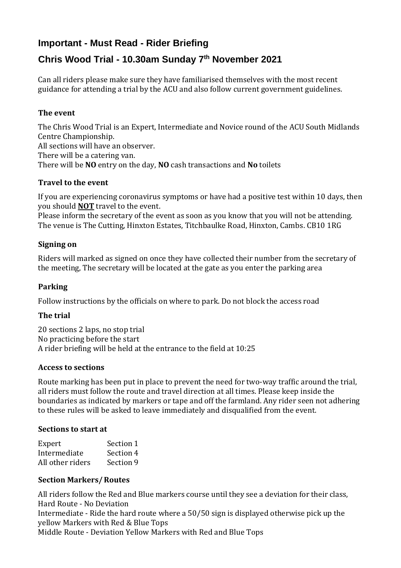## **Important - Must Read - Rider Briefing**

# **Chris Wood Trial - 10.30am Sunday 7 th November 2021**

Can all riders please make sure they have familiarised themselves with the most recent guidance for attending a trial by the ACU and also follow current government guidelines.

## **The event**

The Chris Wood Trial is an Expert, Intermediate and Novice round of the ACU South Midlands Centre Championship.

All sections will have an observer. There will be a catering van. There will be **NO** entry on the day, **NO** cash transactions and **No** toilets

### **Travel to the event**

If you are experiencing coronavirus symptoms or have had a positive test within 10 days, then you should **NOT** travel to the event.

Please inform the secretary of the event as soon as you know that you will not be attending. The venue is The Cutting, Hinxton Estates, Titchbaulke Road, Hinxton, Cambs. CB10 1RG

## **Signing on**

Riders will marked as signed on once they have collected their number from the secretary of the meeting, The secretary will be located at the gate as you enter the parking area

## **Parking**

Follow instructions by the officials on where to park. Do not block the access road

### **The trial**

20 sections 2 laps, no stop trial No practicing before the start A rider briefing will be held at the entrance to the field at 10:25

### **Access to sections**

Route marking has been put in place to prevent the need for two-way traffic around the trial, all riders must follow the route and travel direction at all times. Please keep inside the boundaries as indicated by markers or tape and off the farmland. Any rider seen not adhering to these rules will be asked to leave immediately and disqualified from the event.

#### **Sections to start at**

| Expert           | Section 1 |
|------------------|-----------|
| Intermediate     | Section 4 |
| All other riders | Section 9 |

### **Section Markers/Routes**

All riders follow the Red and Blue markers course until they see a deviation for their class, Hard Route - No Deviation Intermediate - Ride the hard route where a 50/50 sign is displayed otherwise pick up the yellow Markers with Red & Blue Tops Middle Route - Deviation Yellow Markers with Red and Blue Tops